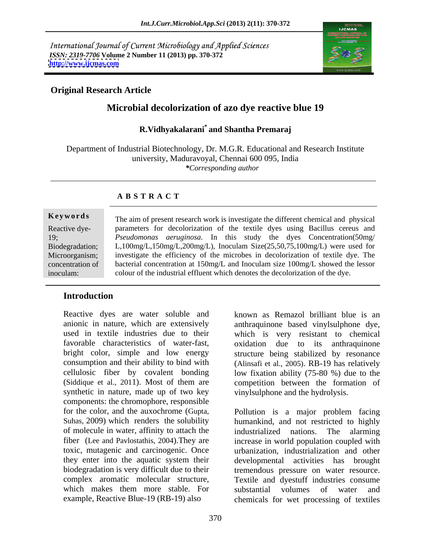International Journal of Current Microbiology and Applied Sciences *ISSN: 2319-7706* **Volume 2 Number 11 (2013) pp. 370-372 <http://www.ijcmas.com>**



## **Original Research Article**

# **Microbial decolorization of azo dye reactive blue 19**

# **R.Vidhyakalarani\* and Shantha Premaraj**

Department of Industrial Biotechnology, Dr. M.G.R. Educational and Research Institute university, Maduravoyal, Chennai 600 095, India *\*Corresponding author*

### **A B S T R A C T**

**Keywords** The aim of present research work is investigate the different chemical and physical Reactive dye- parameters for decolorization of the textile dyes using Bacillus cereus and 19; *Pseudomonas aeruginosa*. In this study the dyes Concentration(50mg/ Biodegradation; L,100mg/L,150mg/L,200mg/L), Inoculam Size(25,50,75,100mg/L) were used for Microorganism; investigate the efficiency of the microbes in decolorization of textile dye. The concentration of bacterial concentration at 150mg/L and Inoculam size 100mg/L showed the lessor inoculam; colour of the industrial effluent which denotes the decolorization of the dye.

### **Introduction**

Reactive dyes are water soluble and anionic in nature, which are extensively anthraquinone based vinylsulphone dye, used in textile industries due to their which is very resistant to chemical favorable characteristics of water-fast, bright color, simple and low energy structure being stabilized by resonance consumption and their ability to bind with cellulosic fiber by covalent bonding low fixation ability (75-80 %) due to the (Siddique et al., 2011). Most of them are competition between the formation of synthetic in nature, made up of two key components: the chromophore, responsible for the color, and the auxochrome (Gupta, Pollution is a major problem facing of molecule in water, affinity to attach the industrialized nations. The alarming they enter into the aquatic system their

known as Remazol brilliant blue is an oxidation due to its anthraquinone (Alinsafi et al., 2005). RB-19 has relatively vinylsulphone and the hydrolysis.

Suhas, 2009) which renders the solubility humankind, and not restricted to highly fiber (Lee and Pavlostathis, 2004).They are increase in world population coupled with toxic, mutagenic and carcinogenic. Once urbanization, industrialization and other biodegradation is very difficult due to their tremendous pressure on water resource. complex aromatic molecular structure, Textile and dyestuff industries consume which makes them more stable. For substantial volumes of water and example, Reactive Blue-19 (RB-19) also chemicals for wet processing of textiles industrialized nations. The alarming developmental activities has brought substantial volumes of water and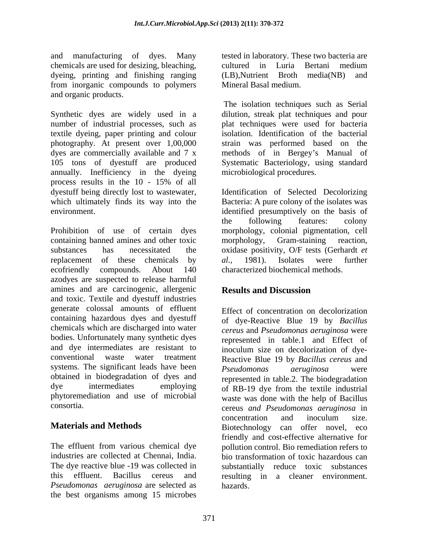and manufacturing of dyes. Many chemicals are used for desizing, bleaching, dyeing, printing and finishing ranging (LB), Nutrient Broth media (NB) and from inorganic compounds to polymers and organic products.

Synthetic dyes are widely used in a number of industrial processes, such as plat techniques were used for bacteria textile dyeing, paper printing and colour photography. At present over 1,00,000 dyes are commercially available and 7 x methods of in Bergey's Manual of 105 tons of dyestuff are produced Systematic Bacteriology, using standard annually. Inefficiency in the dyeing process results in the  $10 - 15\%$  of all dyestuff being directly lost to wastewater, Identification of Selected Decolorizing which ultimately finds its way into the Bacteria: A pure colony of the isolates was

Prohibition of use of certain dyes containing banned amines and other toxic morphology, Gram-staining reaction, substances has necessitated the oxidase positivity, O/F tests (Gerhardt *et*  replacement of these chemicals by *al.*, 1981). Isolates were further ecofriendly compounds. About 140 characterized biochemical methods. azodyes are suspected to release harmful amines and are carcinogenic, allergenic and toxic. Textile and dyestuff industries generate colossal amounts of effluent containing hazardous dyes and dyestuff chemicals which are discharged into water bodies. Unfortunately many synthetic dyes and dye intermediates are resistant to inoculum size on decolorization of dye conventional waste water treatment Reactive Blue 19 by *Bacillus cereus* and systems. The significant leads have been *Pseudomonas deruginosa* were obtained in biodegradation of dyes and dye intermediates employing of RB-19 dye from the textile industrial phytoremediation and use of microbial waste was done with the help of Bacillus

industries are collected at Chennai, India. *Pseudomonas aeruginosa* are selected as the best organisms among 15 microbes tested in laboratory. These two bacteria are cultured in Luria Bertani medium  $(LB)$ , Nutrient Broth media(NB) Mineral Basal medium.

The isolation techniques such as Serial dilution, streak plat techniques and pour isolation. Identification of the bacterial strain was performed based on the microbiological procedures.

environment. The same of the state of the state of the control of the basis of the basis of the basis of the basis of the basis of the basis of the basis of the basis of the basis of the basis of the basis of the basis of the following features: colony morphology, colonial pigmentation, cell morphology, Gram-staining reaction, *al.,* 1981). Isolates were further characterized biochemical methods.

# **Results and Discussion**

consortia. cereus *and Pseudomonas aeruginosa* in **Materials and Methods Biotechnology** can offer novel, eco The effluent from various chemical dye pollution control. Bio remediation refers to The dye reactive blue -19 was collected in substantially reduce toxic substances this effluent. Bacillus cereus and resulting in a cleaner environment. Effect of concentration on decolorization of dye-Reactive Blue 19 by *Bacillus cereus* and *Pseudomonas aeruginosa* were represented in table.1 and Effect of *Pseudomonas aeruginosa* were represented in table.2. The biodegradation concentration and inoculum size. friendly and cost-effective alternative for bio transformation of toxic hazardous can hazards.